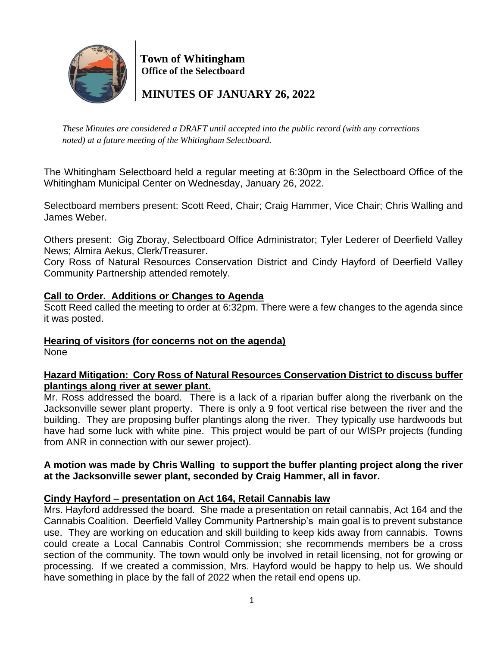

 **Town of Whitingham Office of the Selectboard**

 **MINUTES OF JANUARY 26, 2022**

*These Minutes are considered a DRAFT until accepted into the public record (with any corrections noted) at a future meeting of the Whitingham Selectboard.*

The Whitingham Selectboard held a regular meeting at 6:30pm in the Selectboard Office of the Whitingham Municipal Center on Wednesday, January 26, 2022.

Selectboard members present: Scott Reed, Chair; Craig Hammer, Vice Chair; Chris Walling and James Weber.

Others present: Gig Zboray, Selectboard Office Administrator; Tyler Lederer of Deerfield Valley News; Almira Aekus, Clerk/Treasurer.

Cory Ross of Natural Resources Conservation District and Cindy Hayford of Deerfield Valley Community Partnership attended remotely.

# **Call to Order. Additions or Changes to Agenda**

Scott Reed called the meeting to order at 6:32pm. There were a few changes to the agenda since it was posted.

# **Hearing of visitors (for concerns not on the agenda)**

None

# **Hazard Mitigation: Cory Ross of Natural Resources Conservation District to discuss buffer plantings along river at sewer plant.**

Mr. Ross addressed the board. There is a lack of a riparian buffer along the riverbank on the Jacksonville sewer plant property. There is only a 9 foot vertical rise between the river and the building. They are proposing buffer plantings along the river. They typically use hardwoods but have had some luck with white pine. This project would be part of our WISPr projects (funding from ANR in connection with our sewer project).

# **A motion was made by Chris Walling to support the buffer planting project along the river at the Jacksonville sewer plant, seconded by Craig Hammer, all in favor.**

# **Cindy Hayford – presentation on Act 164, Retail Cannabis law**

Mrs. Hayford addressed the board. She made a presentation on retail cannabis, Act 164 and the Cannabis Coalition. Deerfield Valley Community Partnership's main goal is to prevent substance use. They are working on education and skill building to keep kids away from cannabis. Towns could create a Local Cannabis Control Commission; she recommends members be a cross section of the community. The town would only be involved in retail licensing, not for growing or processing. If we created a commission, Mrs. Hayford would be happy to help us. We should have something in place by the fall of 2022 when the retail end opens up.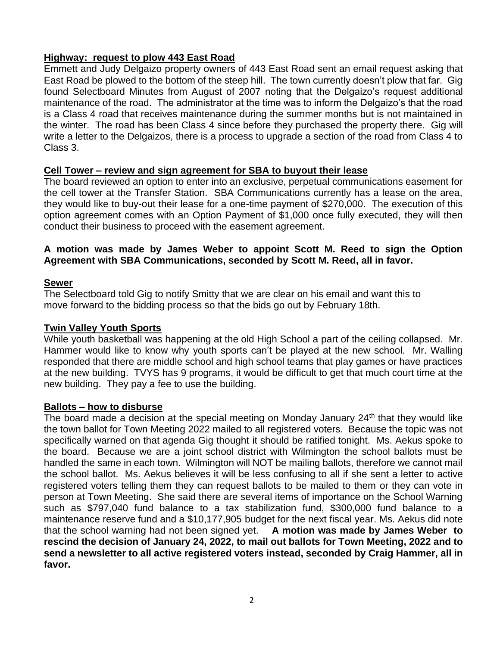# **Highway: request to plow 443 East Road**

Emmett and Judy Delgaizo property owners of 443 East Road sent an email request asking that East Road be plowed to the bottom of the steep hill. The town currently doesn't plow that far. Gig found Selectboard Minutes from August of 2007 noting that the Delgaizo's request additional maintenance of the road. The administrator at the time was to inform the Delgaizo's that the road is a Class 4 road that receives maintenance during the summer months but is not maintained in the winter. The road has been Class 4 since before they purchased the property there. Gig will write a letter to the Delgaizos, there is a process to upgrade a section of the road from Class 4 to Class 3.

## **Cell Tower – review and sign agreement for SBA to buyout their lease**

The board reviewed an option to enter into an exclusive, perpetual communications easement for the cell tower at the Transfer Station. SBA Communications currently has a lease on the area, they would like to buy-out their lease for a one-time payment of \$270,000. The execution of this option agreement comes with an Option Payment of \$1,000 once fully executed, they will then conduct their business to proceed with the easement agreement.

### **A motion was made by James Weber to appoint Scott M. Reed to sign the Option Agreement with SBA Communications, seconded by Scott M. Reed, all in favor.**

#### **Sewer**

The Selectboard told Gig to notify Smitty that we are clear on his email and want this to move forward to the bidding process so that the bids go out by February 18th.

#### **Twin Valley Youth Sports**

While youth basketball was happening at the old High School a part of the ceiling collapsed. Mr. Hammer would like to know why youth sports can't be played at the new school. Mr. Walling responded that there are middle school and high school teams that play games or have practices at the new building. TVYS has 9 programs, it would be difficult to get that much court time at the new building. They pay a fee to use the building.

#### **Ballots – how to disburse**

The board made a decision at the special meeting on Monday January  $24<sup>th</sup>$  that they would like the town ballot for Town Meeting 2022 mailed to all registered voters. Because the topic was not specifically warned on that agenda Gig thought it should be ratified tonight. Ms. Aekus spoke to the board. Because we are a joint school district with Wilmington the school ballots must be handled the same in each town. Wilmington will NOT be mailing ballots, therefore we cannot mail the school ballot. Ms. Aekus believes it will be less confusing to all if she sent a letter to active registered voters telling them they can request ballots to be mailed to them or they can vote in person at Town Meeting. She said there are several items of importance on the School Warning such as \$797,040 fund balance to a tax stabilization fund, \$300,000 fund balance to a maintenance reserve fund and a \$10,177,905 budget for the next fiscal year. Ms. Aekus did note that the school warning had not been signed yet. **A motion was made by James Weber to rescind the decision of January 24, 2022, to mail out ballots for Town Meeting, 2022 and to send a newsletter to all active registered voters instead, seconded by Craig Hammer, all in favor.**